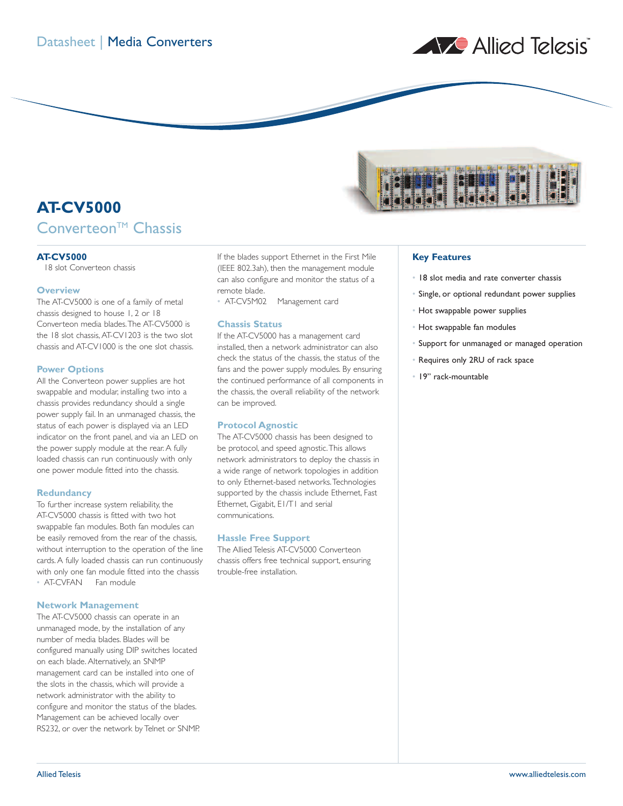

# **AT-CV5000** Converteon<sup>™</sup> Chassis

#### **AT-CV5000**

18 slot Converteon chassis

#### **Overview**

The AT-CV5000 is one of a family of metal chassis designed to house 1, 2 or 18 Converteon media blades.The AT-CV5000 is the 18 slot chassis, AT-CV1203 is the two slot chassis and AT-CV1000 is the one slot chassis.

# **Power Options**

All the Converteon power supplies are hot swappable and modular, installing two into a chassis provides redundancy should a single power supply fail. In an unmanaged chassis, the status of each power is displayed via an LED indicator on the front panel, and via an LED on the power supply module at the rear. A fully loaded chassis can run continuously with only one power module fitted into the chassis.

### **Redundancy**

To further increase system reliability, the AT-CV5000 chassis is fitted with two hot swappable fan modules. Both fan modules can be easily removed from the rear of the chassis, without interruption to the operation of the line cards. A fully loaded chassis can run continuously with only one fan module fitted into the chassis • AT-CVFAN Fan module

# **Network Management**

The AT-CV5000 chassis can operate in an unmanaged mode, by the installation of any number of media blades. Blades will be configured manually using DIP switches located on each blade.Alternatively, an SNMP management card can be installed into one of the slots in the chassis, which will provide a network administrator with the ability to configure and monitor the status of the blades. Management can be achieved locally over RS232, or over the network by Telnet or SNMP.

If the blades support Ethernet in the First Mile (IEEE 802.3ah), then the management module can also configure and monitor the status of a remote blade.<br>• AT-CV5M02

Management card

# **Chassis Status**

If the AT-CV5000 has a management card installed, then a network administrator can also check the status of the chassis, the status of the fans and the power supply modules. By ensuring the continued performance of all components in the chassis, the overall reliability of the network can be improved.

#### **Protocol Agnostic**

The AT-CV5000 chassis has been designed to be protocol, and speed agnostic.This allows network administrators to deploy the chassis in a wide range of network topologies in addition to only Ethernet-based networks.Technologies supported by the chassis include Ethernet, Fast Ethernet, Gigabit, E1/T1 and serial communications.

#### **Hassle Free Support**

The Allied Telesis AT-CV5000 Converteon chassis offers free technical support, ensuring trouble-free installation.



# **Key Features**

- 18 slot media and rate converter chassis
- Single, or optional redundant power supplies
- Hot swappable power supplies
- Hot swappable fan modules
- Support for unmanaged or managed operation
- Requires only 2RU of rack space
- 19" rack-mountable